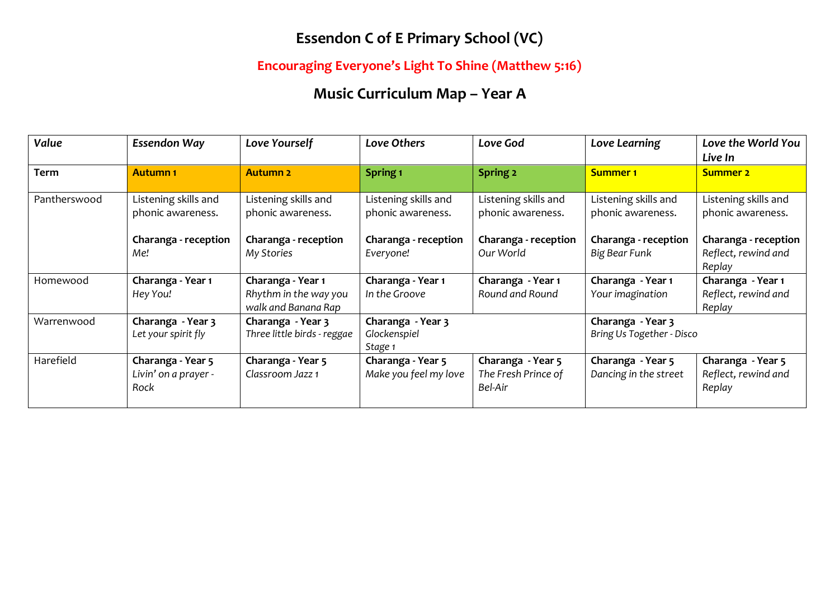## **Essendon C of E Primary School (VC)**

### **Encouraging Everyone's Light To Shine (Matthew 5:16)**

# **Music Curriculum Map – Year A**

| Value        | <b>Essendon Way</b>                               | Love Yourself                                                     | Love Others                                  | Love God                                            | Love Learning                                  | Love the World You<br>Live In                         |
|--------------|---------------------------------------------------|-------------------------------------------------------------------|----------------------------------------------|-----------------------------------------------------|------------------------------------------------|-------------------------------------------------------|
| <b>Term</b>  | <b>Autumn1</b>                                    | <b>Autumn 2</b>                                                   | Spring <sub>1</sub>                          | Spring 2                                            | <b>Summer 1</b>                                | <b>Summer 2</b>                                       |
| Pantherswood | Listening skills and<br>phonic awareness.         | Listening skills and<br>phonic awareness.                         | Listening skills and<br>phonic awareness.    | Listening skills and<br>phonic awareness.           | Listening skills and<br>phonic awareness.      | Listening skills and<br>phonic awareness.             |
|              | Charanga - reception<br>Me!                       | Charanga - reception<br>My Stories                                | Charanga - reception<br>Everyone!            | Charanga - reception<br>Our World                   | Charanga - reception<br>Big Bear Funk          | Charanga - reception<br>Reflect, rewind and<br>Replay |
| Homewood     | Charanga - Year 1<br>Hey You!                     | Charanga - Year 1<br>Rhythm in the way you<br>walk and Banana Rap | Charanga - Year 1<br>In the Groove           | Charanga - Year 1<br>Round and Round                | Charanga - Year 1<br>Your imagination          | Charanga - Year 1<br>Reflect, rewind and<br>Replay    |
| Warrenwood   | Charanga - Year 3<br>Let your spirit fly          | Charanga - Year 3<br>Three little birds - reggae                  | Charanga - Year 3<br>Glockenspiel<br>Stage 1 |                                                     | Charanga - Year 3<br>Bring Us Together - Disco |                                                       |
| Harefield    | Charanga - Year 5<br>Livin' on a prayer -<br>Rock | Charanga - Year 5<br>Classroom Jazz 1                             | Charanga - Year 5<br>Make you feel my love   | Charanga - Year 5<br>The Fresh Prince of<br>Bel-Air | Charanga - Year 5<br>Dancing in the street     | Charanga - Year 5<br>Reflect, rewind and<br>Replay    |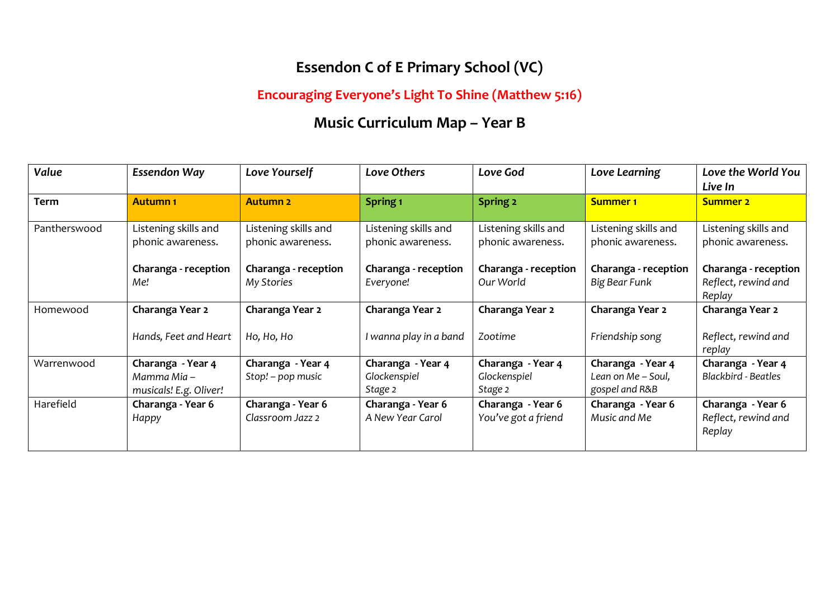### **Essendon C of E Primary School (VC)**

### **Encouraging Everyone's Light To Shine (Matthew 5:16)**

# **Music Curriculum Map – Year B**

| Value        | <b>Essendon Way</b>                                        | Love Yourself                             | Love Others                                  | Love God                                     | Love Learning                                             | Love the World You<br>Live In                         |
|--------------|------------------------------------------------------------|-------------------------------------------|----------------------------------------------|----------------------------------------------|-----------------------------------------------------------|-------------------------------------------------------|
| Term         | <b>Autumn1</b>                                             | <b>Autumn 2</b>                           | Spring <sub>1</sub>                          | Spring 2                                     | <b>Summer 1</b>                                           | <b>Summer 2</b>                                       |
| Pantherswood | Listening skills and<br>phonic awareness.                  | Listening skills and<br>phonic awareness. | Listening skills and<br>phonic awareness.    | Listening skills and<br>phonic awareness.    | Listening skills and<br>phonic awareness.                 | Listening skills and<br>phonic awareness.             |
|              | Charanga - reception<br>Me!                                | Charanga - reception<br>My Stories        | Charanga - reception<br>Everyone!            | Charanga - reception<br>Our World            | Charanga - reception<br>Big Bear Funk                     | Charanga - reception<br>Reflect, rewind and<br>Replay |
| Homewood     | Charanga Year 2                                            | Charanga Year 2                           | Charanga Year 2                              | Charanga Year 2                              | Charanga Year 2                                           | Charanga Year 2                                       |
|              | Hands, Feet and Heart                                      | Ho, Ho, Ho                                | I wanna play in a band                       | Zootime                                      | Friendship song                                           | Reflect, rewind and<br>replay                         |
| Warrenwood   | Charanga - Year 4<br>Mamma Mia –<br>musicals! E.g. Oliver! | Charanga - Year 4<br>Stop! - pop music    | Charanga - Year 4<br>Glockenspiel<br>Stage 2 | Charanga - Year 4<br>Glockenspiel<br>Stage 2 | Charanga - Year 4<br>Lean on Me - Soul,<br>gospel and R&B | Charanga - Year 4<br><b>Blackbird - Beatles</b>       |
| Harefield    | Charanga - Year 6<br>Happy                                 | Charanga - Year 6<br>Classroom Jazz 2     | Charanga - Year 6<br>A New Year Carol        | Charanga - Year 6<br>You've got a friend     | Charanga - Year 6<br>Music and Me                         | Charanga - Year 6<br>Reflect, rewind and<br>Replay    |